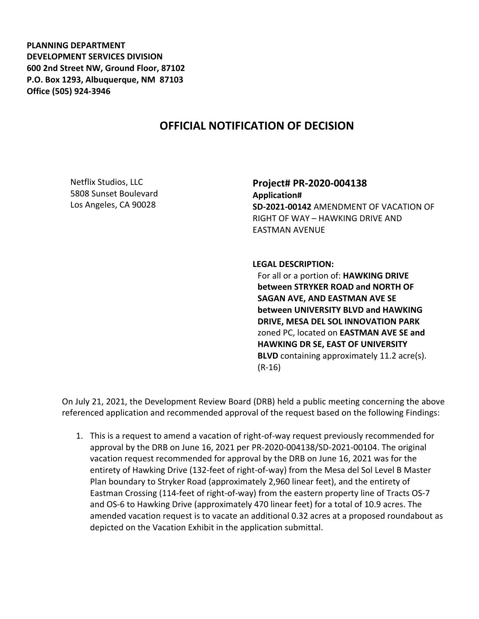**PLANNING DEPARTMENT DEVELOPMENT SERVICES DIVISION 600 2nd Street NW, Ground Floor, 87102 P.O. Box 1293, Albuquerque, NM 87103 Office (505) 924-3946** 

## **OFFICIAL NOTIFICATION OF DECISION**

Netflix Studios, LLC 5808 Sunset Boulevard Los Angeles, CA 90028

**Project# PR-2020-004138 Application# SD-2021-00142** AMENDMENT OF VACATION OF RIGHT OF WAY – HAWKING DRIVE AND EASTMAN AVENUE

**LEGAL DESCRIPTION:**

For all or a portion of: **HAWKING DRIVE between STRYKER ROAD and NORTH OF SAGAN AVE, AND EASTMAN AVE SE between UNIVERSITY BLVD and HAWKING DRIVE, MESA DEL SOL INNOVATION PARK**  zoned PC, located on **EASTMAN AVE SE and HAWKING DR SE, EAST OF UNIVERSITY BLVD** containing approximately 11.2 acre(s). (R-16)

On July 21, 2021, the Development Review Board (DRB) held a public meeting concerning the above referenced application and recommended approval of the request based on the following Findings:

1. This is a request to amend a vacation of right-of-way request previously recommended for approval by the DRB on June 16, 2021 per PR-2020-004138/SD-2021-00104. The original vacation request recommended for approval by the DRB on June 16, 2021 was for the entirety of Hawking Drive (132-feet of right-of-way) from the Mesa del Sol Level B Master Plan boundary to Stryker Road (approximately 2,960 linear feet), and the entirety of Eastman Crossing (114-feet of right-of-way) from the eastern property line of Tracts OS-7 and OS-6 to Hawking Drive (approximately 470 linear feet) for a total of 10.9 acres. The amended vacation request is to vacate an additional 0.32 acres at a proposed roundabout as depicted on the Vacation Exhibit in the application submittal.